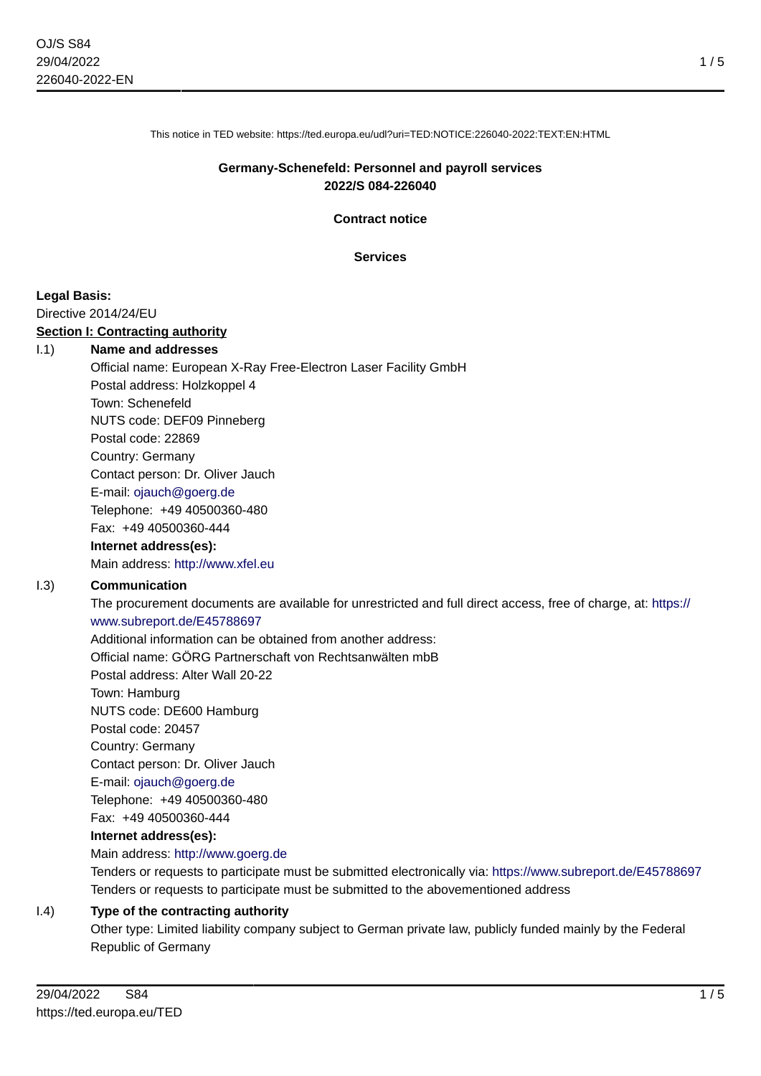This notice in TED website: https://ted.europa.eu/udl?uri=TED:NOTICE:226040-2022:TEXT:EN:HTML

#### **Germany-Schenefeld: Personnel and payroll services 2022/S 084-226040**

**Contract notice**

#### **Services**

#### **Legal Basis:**

Directive 2014/24/EU

#### **Section I: Contracting authority**

#### I.1) **Name and addresses**

Official name: European X-Ray Free-Electron Laser Facility GmbH Postal address: Holzkoppel 4 Town: Schenefeld NUTS code: DEF09 Pinneberg Postal code: 22869 Country: Germany Contact person: Dr. Oliver Jauch E-mail: [ojauch@goerg.de](mailto:ojauch@goerg.de) Telephone: +49 40500360-480 Fax: +49 40500360-444

## **Internet address(es):**

Main address:<http://www.xfel.eu>

#### I.3) **Communication**

The procurement documents are available for unrestricted and full direct access, free of charge, at: [https://](https://www.subreport.de/E45788697) [www.subreport.de/E45788697](https://www.subreport.de/E45788697)

Additional information can be obtained from another address:

Official name: GÖRG Partnerschaft von Rechtsanwälten mbB

Postal address: Alter Wall 20-22

Town: Hamburg

NUTS code: DE600 Hamburg

Postal code: 20457

Country: Germany

Contact person: Dr. Oliver Jauch

E-mail: [ojauch@goerg.de](mailto:ojauch@goerg.de)

Telephone: +49 40500360-480

Fax: +49 40500360-444

#### **Internet address(es):**

#### Main address:<http://www.goerg.de>

Tenders or requests to participate must be submitted electronically via:<https://www.subreport.de/E45788697> Tenders or requests to participate must be submitted to the abovementioned address

#### I.4) **Type of the contracting authority**

Other type: Limited liability company subject to German private law, publicly funded mainly by the Federal Republic of Germany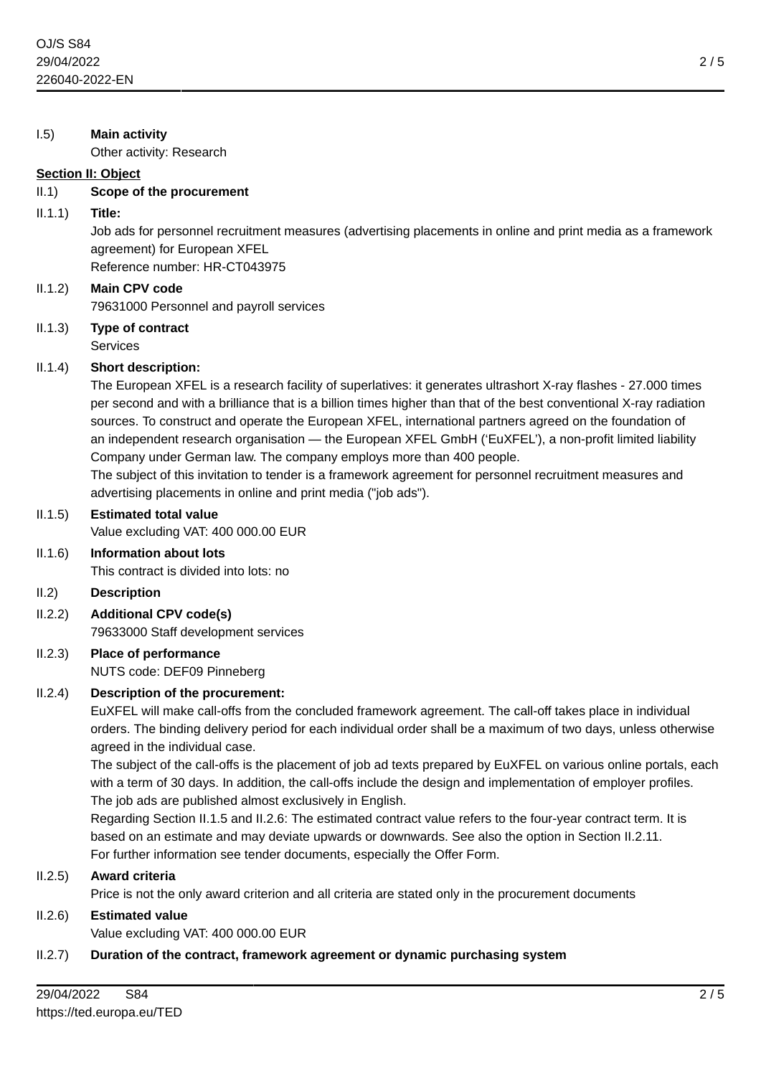#### I.5) **Main activity**

Other activity: Research

#### **Section II: Object**

#### II.1) **Scope of the procurement**

#### II.1.1) **Title:**

Job ads for personnel recruitment measures (advertising placements in online and print media as a framework agreement) for European XFEL Reference number: HR-CT043975

## II.1.2) **Main CPV code** 79631000 Personnel and payroll services

#### II.1.3) **Type of contract** Services

#### II.1.4) **Short description:**

The European XFEL is a research facility of superlatives: it generates ultrashort X-ray flashes - 27.000 times per second and with a brilliance that is a billion times higher than that of the best conventional X-ray radiation sources. To construct and operate the European XFEL, international partners agreed on the foundation of an independent research organisation — the European XFEL GmbH ('EuXFEL'), a non-profit limited liability Company under German law. The company employs more than 400 people.

The subject of this invitation to tender is a framework agreement for personnel recruitment measures and advertising placements in online and print media ("job ads").

## II.1.5) **Estimated total value**

Value excluding VAT: 400 000.00 EUR

# II.1.6) **Information about lots**

This contract is divided into lots: no

#### II.2) **Description**

II.2.2) **Additional CPV code(s)** 79633000 Staff development services

### II.2.3) **Place of performance** NUTS code: DEF09 Pinneberg

## II.2.4) **Description of the procurement:**

EuXFEL will make call-offs from the concluded framework agreement. The call-off takes place in individual orders. The binding delivery period for each individual order shall be a maximum of two days, unless otherwise agreed in the individual case.

The subject of the call-offs is the placement of job ad texts prepared by EuXFEL on various online portals, each with a term of 30 days. In addition, the call-offs include the design and implementation of employer profiles. The job ads are published almost exclusively in English.

Regarding Section II.1.5 and II.2.6: The estimated contract value refers to the four-year contract term. It is based on an estimate and may deviate upwards or downwards. See also the option in Section II.2.11. For further information see tender documents, especially the Offer Form.

#### II.2.5) **Award criteria**

Price is not the only award criterion and all criteria are stated only in the procurement documents

#### II.2.6) **Estimated value**

Value excluding VAT: 400 000.00 EUR

#### II.2.7) **Duration of the contract, framework agreement or dynamic purchasing system**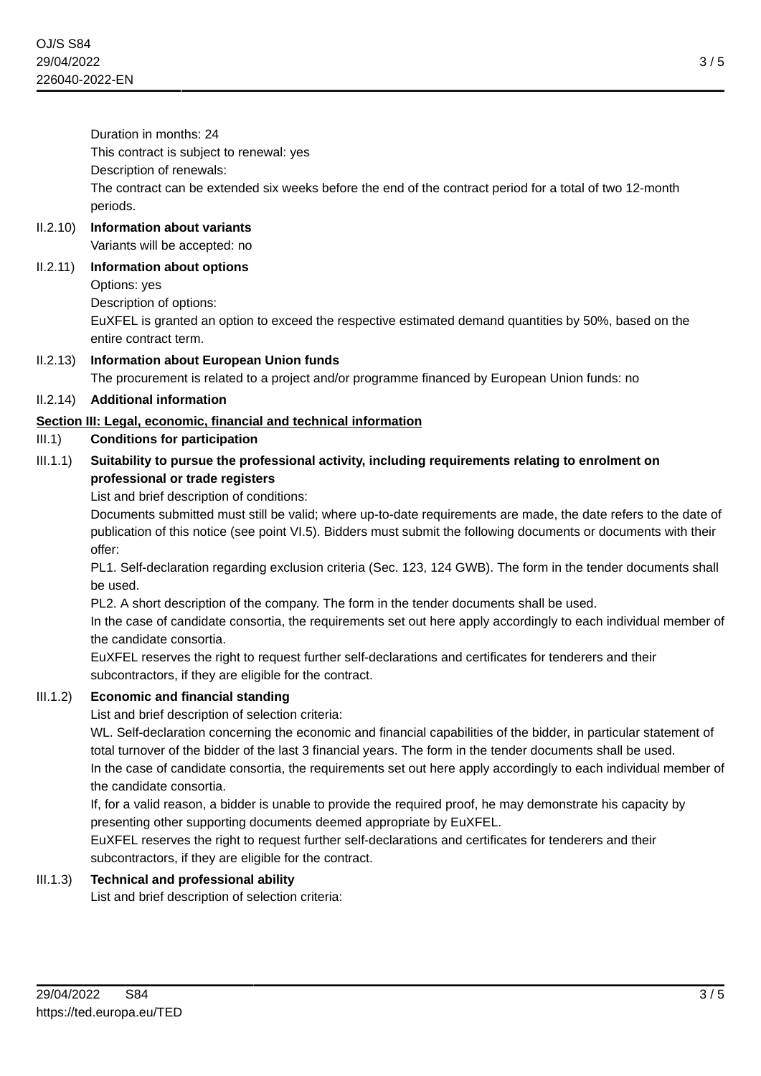3 / 5

Duration in months: 24

This contract is subject to renewal: yes

Description of renewals:

The contract can be extended six weeks before the end of the contract period for a total of two 12-month periods.

## II.2.10) **Information about variants**

Variants will be accepted: no

## II.2.11) **Information about options**

Options: yes

Description of options:

EuXFEL is granted an option to exceed the respective estimated demand quantities by 50%, based on the entire contract term.

II.2.13) **Information about European Union funds** The procurement is related to a project and/or programme financed by European Union funds: no

## II.2.14) **Additional information**

## **Section III: Legal, economic, financial and technical information**

## III.1) **Conditions for participation**

## III.1.1) **Suitability to pursue the professional activity, including requirements relating to enrolment on professional or trade registers**

List and brief description of conditions:

Documents submitted must still be valid; where up-to-date requirements are made, the date refers to the date of publication of this notice (see point VI.5). Bidders must submit the following documents or documents with their offer:

PL1. Self-declaration regarding exclusion criteria (Sec. 123, 124 GWB). The form in the tender documents shall be used.

PL2. A short description of the company. The form in the tender documents shall be used.

In the case of candidate consortia, the requirements set out here apply accordingly to each individual member of the candidate consortia.

EuXFEL reserves the right to request further self-declarations and certificates for tenderers and their subcontractors, if they are eligible for the contract.

## III.1.2) **Economic and financial standing**

List and brief description of selection criteria:

WL. Self-declaration concerning the economic and financial capabilities of the bidder, in particular statement of total turnover of the bidder of the last 3 financial years. The form in the tender documents shall be used. In the case of candidate consortia, the requirements set out here apply accordingly to each individual member of the candidate consortia.

If, for a valid reason, a bidder is unable to provide the required proof, he may demonstrate his capacity by presenting other supporting documents deemed appropriate by EuXFEL.

EuXFEL reserves the right to request further self-declarations and certificates for tenderers and their subcontractors, if they are eligible for the contract.

## III.1.3) **Technical and professional ability**

List and brief description of selection criteria: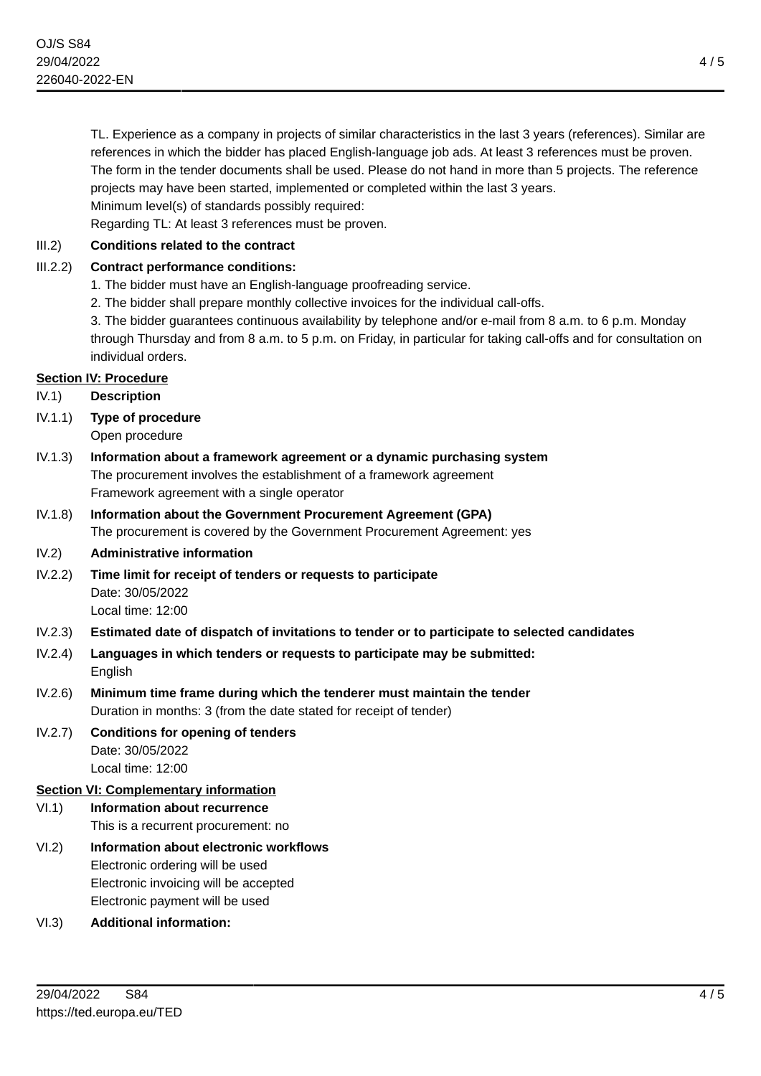TL. Experience as a company in projects of similar characteristics in the last 3 years (references). Similar are references in which the bidder has placed English-language job ads. At least 3 references must be proven. The form in the tender documents shall be used. Please do not hand in more than 5 projects. The reference projects may have been started, implemented or completed within the last 3 years. Minimum level(s) of standards possibly required:

Regarding TL: At least 3 references must be proven.

## III.2) **Conditions related to the contract**

## III.2.2) **Contract performance conditions:**

- 1. The bidder must have an English-language proofreading service.
- 2. The bidder shall prepare monthly collective invoices for the individual call-offs.

3. The bidder guarantees continuous availability by telephone and/or e-mail from 8 a.m. to 6 p.m. Monday through Thursday and from 8 a.m. to 5 p.m. on Friday, in particular for taking call-offs and for consultation on individual orders.

## **Section IV: Procedure**

IV.1) **Description**

IV.1.1) **Type of procedure**

Open procedure

- IV.1.3) **Information about a framework agreement or a dynamic purchasing system** The procurement involves the establishment of a framework agreement Framework agreement with a single operator
- IV.1.8) **Information about the Government Procurement Agreement (GPA)** The procurement is covered by the Government Procurement Agreement: yes
- IV.2) **Administrative information**
- IV.2.2) **Time limit for receipt of tenders or requests to participate** Date: 30/05/2022 Local time: 12:00
- IV.2.3) **Estimated date of dispatch of invitations to tender or to participate to selected candidates**
- IV.2.4) **Languages in which tenders or requests to participate may be submitted:** English
- IV.2.6) **Minimum time frame during which the tenderer must maintain the tender** Duration in months: 3 (from the date stated for receipt of tender)
- IV.2.7) **Conditions for opening of tenders** Date: 30/05/2022 Local time: 12:00

## **Section VI: Complementary information**

## VI.1) **Information about recurrence**

This is a recurrent procurement: no

- VI.2) **Information about electronic workflows** Electronic ordering will be used Electronic invoicing will be accepted Electronic payment will be used
- VI.3) **Additional information:**